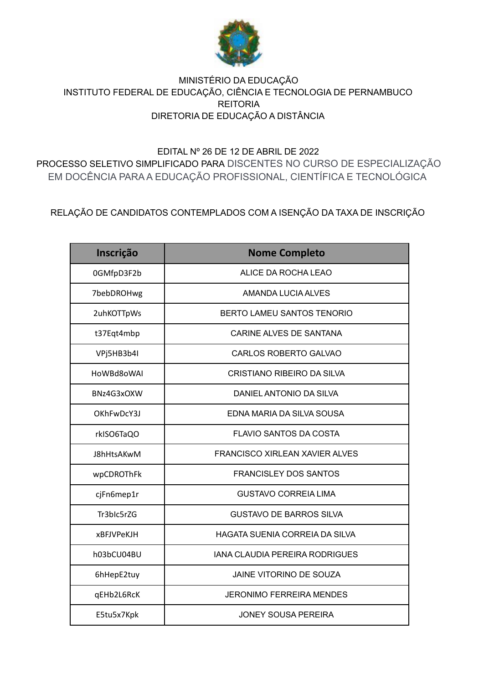

## MINISTÉRIO DA EDUCAÇÃO INSTITUTO FEDERAL DE EDUCAÇÃO, CIÊNCIA E TECNOLOGIA DE PERNAMBUCO **REITORIA** DIRETORIA DE EDUCAÇÃO A DISTÂNCIA

## EDITAL Nº 26 DE 12 DE ABRIL DE 2022 PROCESSO SELETIVO SIMPLIFICADO PARA DISCENTES NO CURSO DE ESPECIALIZAÇÃO EM DOCÊNCIA PARA A EDUCAÇÃO PROFISSIONAL, CIENTÍFICA E TECNOLÓGICA

RELAÇÃO DE CANDIDATOS CONTEMPLADOS COM A ISENÇÃO DA TAXA DE INSCRIÇÃO

| Inscrição         | <b>Nome Completo</b>                  |
|-------------------|---------------------------------------|
| 0GMfpD3F2b        | ALICE DA ROCHA LEAO                   |
| 7bebDROHwg        | AMANDA LUCIA ALVES                    |
| 2uhKOTTpWs        | <b>BERTO LAMEU SANTOS TENORIO</b>     |
| t37Eqt4mbp        | CARINE ALVES DE SANTANA               |
| VPj5HB3b4I        | <b>CARLOS ROBERTO GALVAO</b>          |
| HoWBd8oWAI        | <b>CRISTIANO RIBEIRO DA SILVA</b>     |
| BNz4G3xOXW        | DANIEL ANTONIO DA SILVA               |
| OKhFwDcY3J        | EDNA MARIA DA SILVA SOUSA             |
| rkISO6TaQO        | FLAVIO SANTOS DA COSTA                |
| J8hHtsAKwM        | FRANCISCO XIRLEAN XAVIER ALVES        |
| wpCDROThFk        | <b>FRANCISLEY DOS SANTOS</b>          |
| cjFn6mep1r        | <b>GUSTAVO CORREIA LIMA</b>           |
| Tr3bIc5rZG        | <b>GUSTAVO DE BARROS SILVA</b>        |
| <b>xBFJVPeKJH</b> | HAGATA SUENIA CORREIA DA SILVA        |
| h03bCU04BU        | <b>IANA CLAUDIA PEREIRA RODRIGUES</b> |
| 6hHepE2tuy        | JAINE VITORINO DE SOUZA               |
| qEHb2L6RcK        | <b>JERONIMO FERREIRA MENDES</b>       |
| E5tu5x7Kpk        | <b>JONEY SOUSA PEREIRA</b>            |